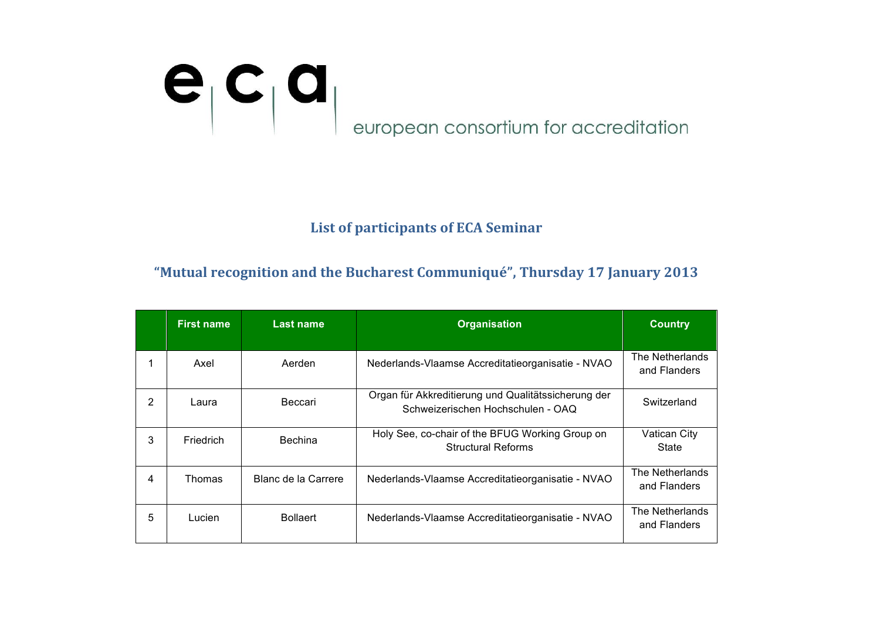# erropean consortium for accreditation

#### **List of participants of ECA Seminar**

#### "Mutual recognition and the Bucharest Communiqué", Thursday 17 January 2013

|                | <b>First name</b> | <b>Last name</b>    | <b>Organisation</b>                                                                      | <b>Country</b>                  |
|----------------|-------------------|---------------------|------------------------------------------------------------------------------------------|---------------------------------|
|                | Axel              | Aerden              | Nederlands-Vlaamse Accreditatieorganisatie - NVAO                                        | The Netherlands<br>and Flanders |
| $\overline{2}$ | Laura             | Beccari             | Organ für Akkreditierung und Qualitätssicherung der<br>Schweizerischen Hochschulen - OAQ | Switzerland                     |
| 3              | <b>Friedrich</b>  | <b>Bechina</b>      | Holy See, co-chair of the BFUG Working Group on<br><b>Structural Reforms</b>             | Vatican City<br>State           |
| 4              | Thomas            | Blanc de la Carrere | Nederlands-Vlaamse Accreditatieorganisatie - NVAO                                        | The Netherlands<br>and Flanders |
| 5              | Lucien            | <b>Bollaert</b>     | Nederlands-Vlaamse Accreditatieorganisatie - NVAO                                        | The Netherlands<br>and Flanders |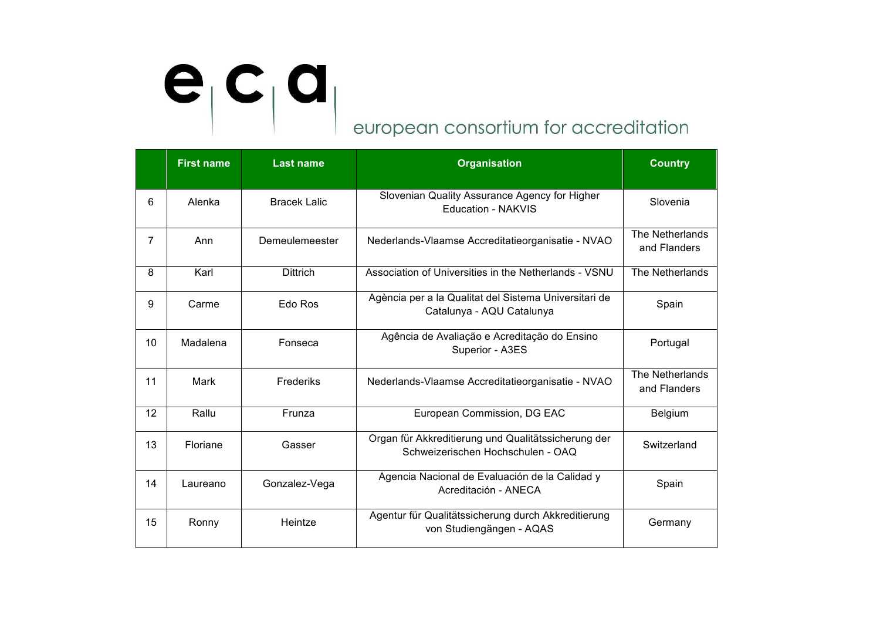|                | <b>First name</b> | <b>Last name</b>    | <b>Organisation</b>                                                                      | <b>Country</b>                  |
|----------------|-------------------|---------------------|------------------------------------------------------------------------------------------|---------------------------------|
| 6              | Alenka            | <b>Bracek Lalic</b> | Slovenian Quality Assurance Agency for Higher<br><b>Education - NAKVIS</b>               | Slovenia                        |
| $\overline{7}$ | Ann               | Demeulemeester      | Nederlands-Vlaamse Accreditatieorganisatie - NVAO                                        | The Netherlands<br>and Flanders |
| 8              | Karl              | <b>Dittrich</b>     | Association of Universities in the Netherlands - VSNU                                    | The Netherlands                 |
| 9              | Carme             | Edo Ros             | Agència per a la Qualitat del Sistema Universitari de<br>Catalunya - AQU Catalunya       | Spain                           |
| 10             | Madalena          | Fonseca             | Agência de Avaliação e Acreditação do Ensino<br>Superior - A3ES                          | Portugal                        |
| 11             | Mark              | <b>Frederiks</b>    | Nederlands-Vlaamse Accreditatieorganisatie - NVAO                                        | The Netherlands<br>and Flanders |
| 12             | Rallu             | Frunza              | European Commission, DG EAC                                                              | Belgium                         |
| 13             | Floriane          | Gasser              | Organ für Akkreditierung und Qualitätssicherung der<br>Schweizerischen Hochschulen - OAQ | Switzerland                     |
| 14             | Laureano          | Gonzalez-Vega       | Agencia Nacional de Evaluación de la Calidad y<br>Acreditación - ANECA                   | Spain                           |
| 15             | Ronny             | Heintze             | Agentur für Qualitätssicherung durch Akkreditierung<br>von Studiengängen - AQAS          | Germany                         |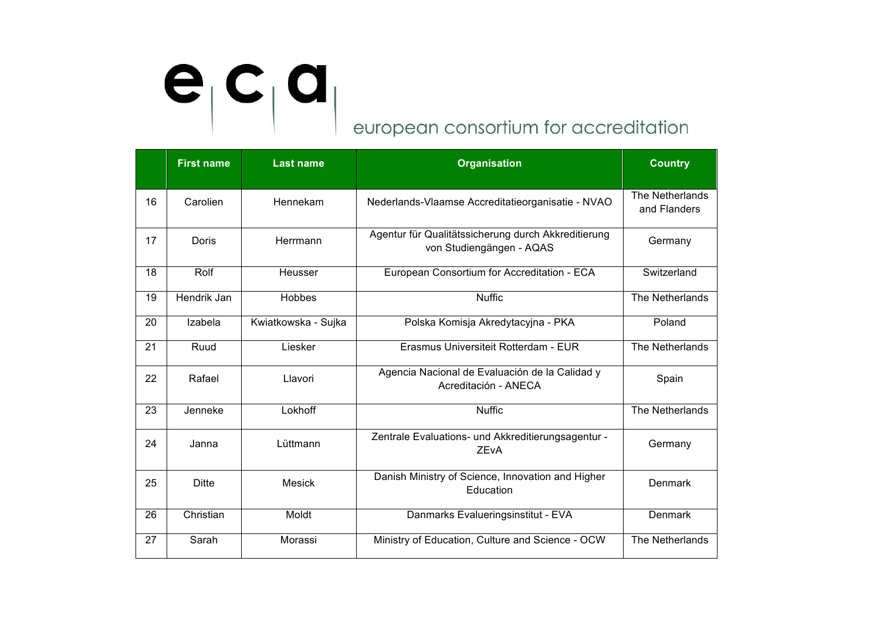|    | <b>First name</b> | <b>Last name</b>    | <b>Organisation</b>                                                             | <b>Country</b>                  |
|----|-------------------|---------------------|---------------------------------------------------------------------------------|---------------------------------|
| 16 | Carolien          | Hennekam            | Nederlands-Vlaamse Accreditatieorganisatie - NVAO                               | The Netherlands<br>and Flanders |
| 17 | <b>Doris</b>      | Herrmann            | Agentur für Qualitätssicherung durch Akkreditierung<br>von Studiengängen - AQAS | Germany                         |
| 18 | Rolf              | Heusser             | European Consortium for Accreditation - ECA                                     | Switzerland                     |
| 19 | Hendrik Jan       | <b>Hobbes</b>       | <b>Nuffic</b>                                                                   | The Netherlands                 |
| 20 | Izabela           | Kwiatkowska - Sujka | Polska Komisja Akredytacyjna - PKA                                              | Poland                          |
| 21 | Ruud              | Liesker             | Erasmus Universiteit Rotterdam - EUR                                            | The Netherlands                 |
| 22 | Rafael            | Llavori             | Agencia Nacional de Evaluación de la Calidad y<br>Acreditación - ANECA          | Spain                           |
| 23 | Jenneke           | Lokhoff             | <b>Nuffic</b>                                                                   | The Netherlands                 |
| 24 | Janna             | Lüttmann            | Zentrale Evaluations- und Akkreditierungsagentur -<br><b>ZEvA</b>               | Germany                         |
| 25 | <b>Ditte</b>      | <b>Mesick</b>       | Danish Ministry of Science, Innovation and Higher<br>Education                  | Denmark                         |
| 26 | Christian         | Moldt               | Danmarks Evalueringsinstitut - EVA                                              | Denmark                         |
| 27 | Sarah             | Morassi             | Ministry of Education, Culture and Science - OCW                                | The Netherlands                 |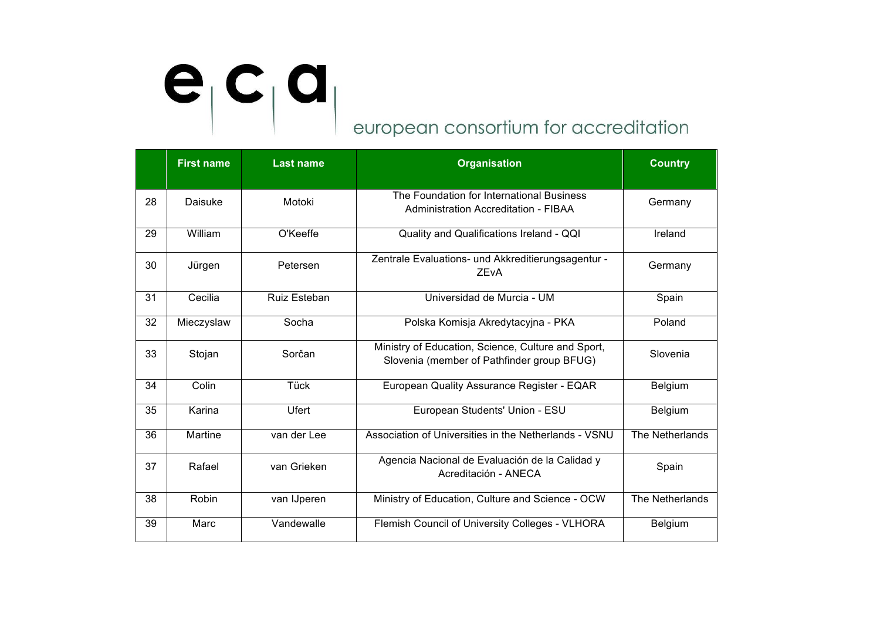|    | <b>First name</b> | <b>Last name</b>    | <b>Organisation</b>                                                                              | <b>Country</b>  |
|----|-------------------|---------------------|--------------------------------------------------------------------------------------------------|-----------------|
| 28 | Daisuke           | Motoki              | The Foundation for International Business<br>Administration Accreditation - FIBAA                | Germany         |
| 29 | William           | O'Keeffe            | Quality and Qualifications Ireland - QQI                                                         | Ireland         |
| 30 | Jürgen            | Petersen            | Zentrale Evaluations- und Akkreditierungsagentur -<br><b>ZEvA</b>                                | Germany         |
| 31 | Cecilia           | <b>Ruiz Esteban</b> | Universidad de Murcia - UM                                                                       | Spain           |
| 32 | Mieczyslaw        | Socha               | Polska Komisja Akredytacyjna - PKA                                                               | Poland          |
| 33 | Stojan            | Sorčan              | Ministry of Education, Science, Culture and Sport,<br>Slovenia (member of Pathfinder group BFUG) | Slovenia        |
| 34 | Colin             | Tück                | European Quality Assurance Register - EQAR                                                       | Belgium         |
| 35 | Karina            | Ufert               | European Students' Union - ESU                                                                   | Belgium         |
| 36 | Martine           | van der Lee         | Association of Universities in the Netherlands - VSNU                                            | The Netherlands |
| 37 | Rafael            | van Grieken         | Agencia Nacional de Evaluación de la Calidad y<br>Acreditación - ANECA                           | Spain           |
| 38 | Robin             | van IJperen         | Ministry of Education, Culture and Science - OCW                                                 | The Netherlands |
| 39 | Marc              | Vandewalle          | Flemish Council of University Colleges - VLHORA                                                  | Belgium         |